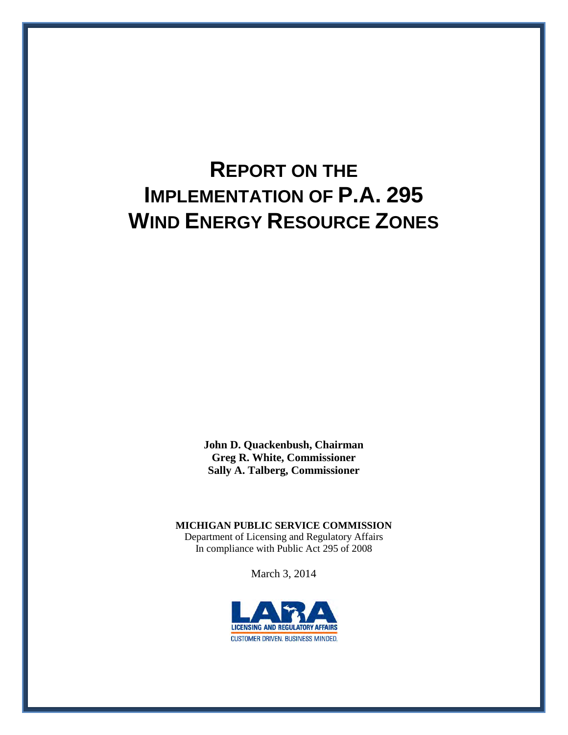# **REPORT ON THE IMPLEMENTATION OF P.A. 295 WIND ENERGY RESOURCE ZONES**

**John D. Quackenbush, Chairman Greg R. White, Commissioner Sally A. Talberg, Commissioner** 

**MICHIGAN PUBLIC SERVICE COMMISSION** Department of Licensing and Regulatory Affairs In compliance with Public Act 295 of 2008

March 3, 2014

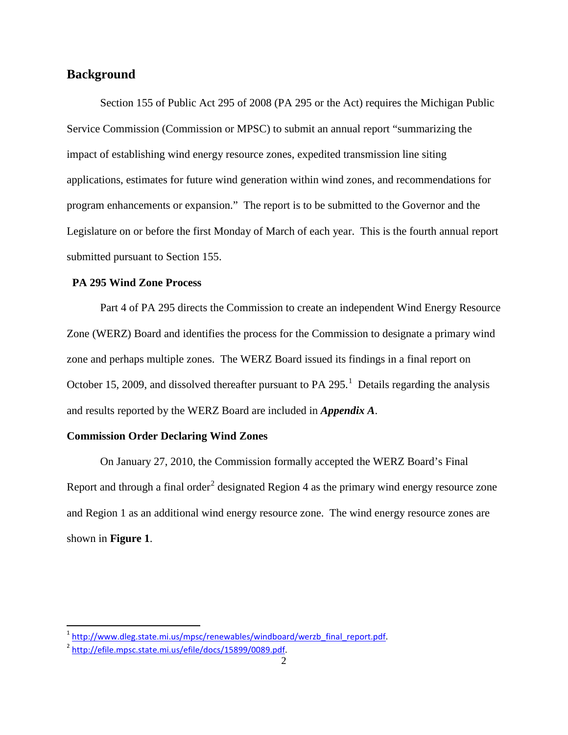## **Background**

Section 155 of Public Act 295 of 2008 (PA 295 or the Act) requires the Michigan Public Service Commission (Commission or MPSC) to submit an annual report "summarizing the impact of establishing wind energy resource zones, expedited transmission line siting applications, estimates for future wind generation within wind zones, and recommendations for program enhancements or expansion." The report is to be submitted to the Governor and the Legislature on or before the first Monday of March of each year. This is the fourth annual report submitted pursuant to Section 155.

#### **PA 295 Wind Zone Process**

Part 4 of PA 295 directs the Commission to create an independent Wind Energy Resource Zone (WERZ) Board and identifies the process for the Commission to designate a primary wind zone and perhaps multiple zones. The WERZ Board issued its findings in a final report on October [1](#page-1-0)5, 2009, and dissolved thereafter pursuant to PA 295.<sup>1</sup> Details regarding the analysis and results reported by the WERZ Board are included in *Appendix A*.

#### **Commission Order Declaring Wind Zones**

On January 27, 2010, the Commission formally accepted the WERZ Board's Final Report and through a final order<sup>[2](#page-1-1)</sup> designated Region 4 as the primary wind energy resource zone and Region 1 as an additional wind energy resource zone. The wind energy resource zones are shown in **Figure 1**.

<span id="page-1-0"></span><sup>&</sup>lt;sup>1</sup> [http://www.dleg.state.mi.us/mpsc/renewables/windboard/werzb\\_final\\_report.pdf.](http://www.dleg.state.mi.us/mpsc/renewables/windboard/werzb_final_report.pdf)<br><sup>[2](http://www.dleg.state.mi.us/mpsc/renewables/windboard/werzb_final_report.pdf)</sup> http://efile.mpsc.state.mi.us/efile/docs/15899/0089.pdf.

<span id="page-1-1"></span>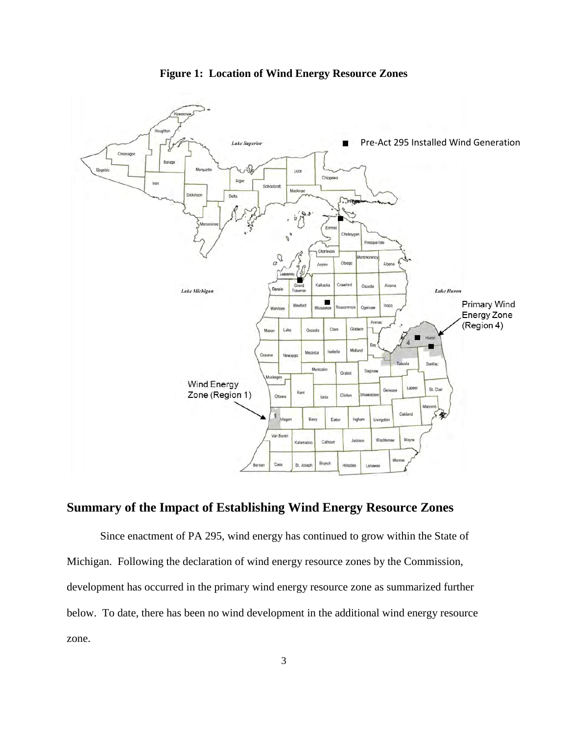

**Figure 1: Location of Wind Energy Resource Zones** 

# **Summary of the Impact of Establishing Wind Energy Resource Zones**

Since enactment of PA 295, wind energy has continued to grow within the State of Michigan. Following the declaration of wind energy resource zones by the Commission, development has occurred in the primary wind energy resource zone as summarized further below. To date, there has been no wind development in the additional wind energy resource zone.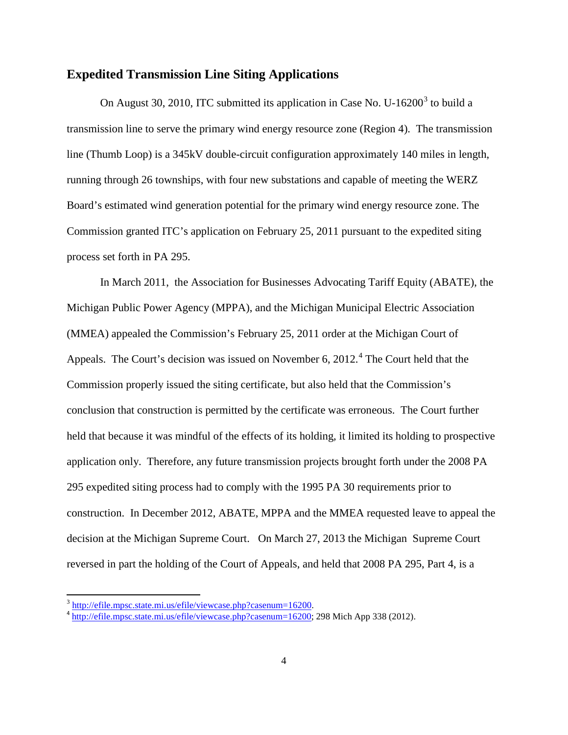#### **Expedited Transmission Line Siting Applications**

On August [3](#page-3-0)0, 2010, ITC submitted its application in Case No. U-16200<sup>3</sup> to build a transmission line to serve the primary wind energy resource zone (Region 4). The transmission line (Thumb Loop) is a 345kV double-circuit configuration approximately 140 miles in length, running through 26 townships, with four new substations and capable of meeting the WERZ Board's estimated wind generation potential for the primary wind energy resource zone. The Commission granted ITC's application on February 25, 2011 pursuant to the expedited siting process set forth in PA 295.

In March 2011, the Association for Businesses Advocating Tariff Equity (ABATE), the Michigan Public Power Agency (MPPA), and the Michigan Municipal Electric Association (MMEA) appealed the Commission's February 25, 2011 order at the Michigan Court of Appeals. The Court's decision was issued on November 6, 2012.<sup>[4](#page-3-1)</sup> The Court held that the Commission properly issued the siting certificate, but also held that the Commission's conclusion that construction is permitted by the certificate was erroneous. The Court further held that because it was mindful of the effects of its holding, it limited its holding to prospective application only. Therefore, any future transmission projects brought forth under the 2008 PA 295 expedited siting process had to comply with the 1995 PA 30 requirements prior to construction. In December 2012, ABATE, MPPA and the MMEA requested leave to appeal the decision at the Michigan Supreme Court. On March 27, 2013 the Michigan Supreme Court reversed in part the holding of the Court of Appeals, and held that 2008 PA 295, Part 4, is a

<span id="page-3-1"></span><span id="page-3-0"></span> $\frac{3 \text{ http://efile.mpsc.state.mi.us/efile/viewcase.php?casenum=16200}}{4 \text{ http://efile.mpsc.state.mi.us/efile/viewcase.php?casenum=16200}}$ .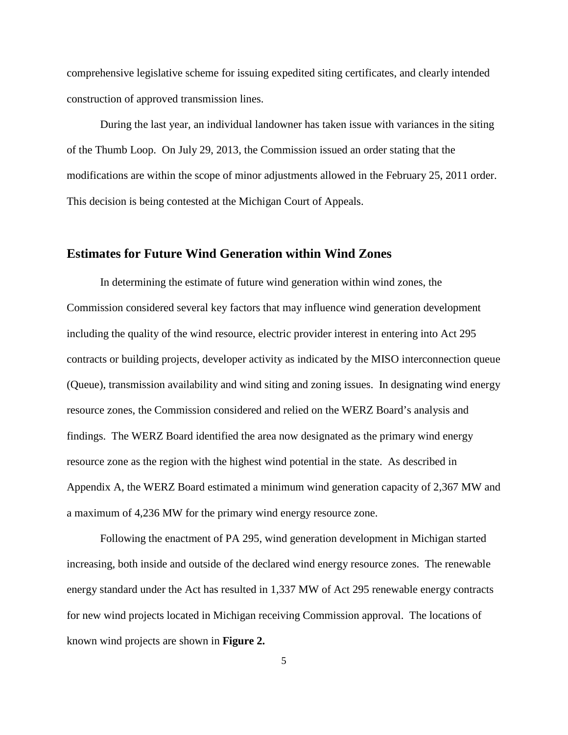comprehensive legislative scheme for issuing expedited siting certificates, and clearly intended construction of approved transmission lines.

During the last year, an individual landowner has taken issue with variances in the siting of the Thumb Loop. On July 29, 2013, the Commission issued an order stating that the modifications are within the scope of minor adjustments allowed in the February 25, 2011 order. This decision is being contested at the Michigan Court of Appeals.

#### **Estimates for Future Wind Generation within Wind Zones**

In determining the estimate of future wind generation within wind zones, the Commission considered several key factors that may influence wind generation development including the quality of the wind resource, electric provider interest in entering into Act 295 contracts or building projects, developer activity as indicated by the MISO interconnection queue (Queue), transmission availability and wind siting and zoning issues. In designating wind energy resource zones, the Commission considered and relied on the WERZ Board's analysis and findings. The WERZ Board identified the area now designated as the primary wind energy resource zone as the region with the highest wind potential in the state. As described in Appendix A, the WERZ Board estimated a minimum wind generation capacity of 2,367 MW and a maximum of 4,236 MW for the primary wind energy resource zone.

Following the enactment of PA 295, wind generation development in Michigan started increasing, both inside and outside of the declared wind energy resource zones. The renewable energy standard under the Act has resulted in 1,337 MW of Act 295 renewable energy contracts for new wind projects located in Michigan receiving Commission approval. The locations of known wind projects are shown in **Figure 2.**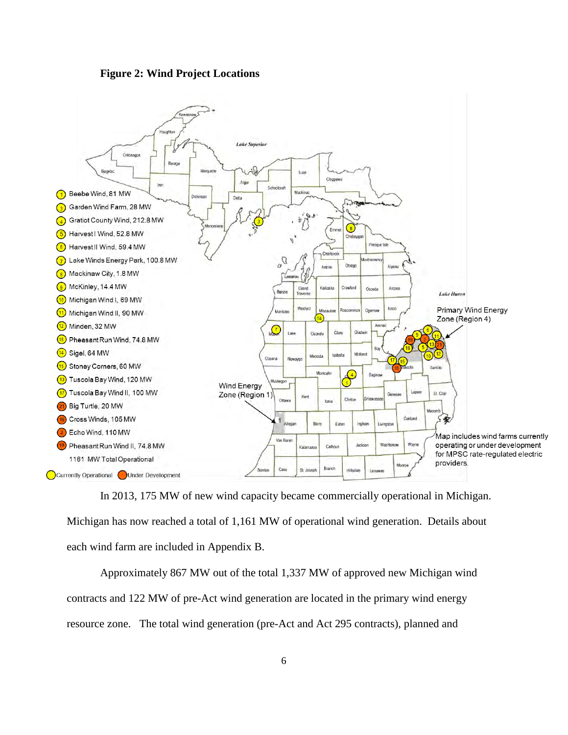



In 2013, 175 MW of new wind capacity became commercially operational in Michigan.

Michigan has now reached a total of 1,161 MW of operational wind generation. Details about each wind farm are included in Appendix B.

Approximately 867 MW out of the total 1,337 MW of approved new Michigan wind contracts and 122 MW of pre-Act wind generation are located in the primary wind energy resource zone. The total wind generation (pre-Act and Act 295 contracts), planned and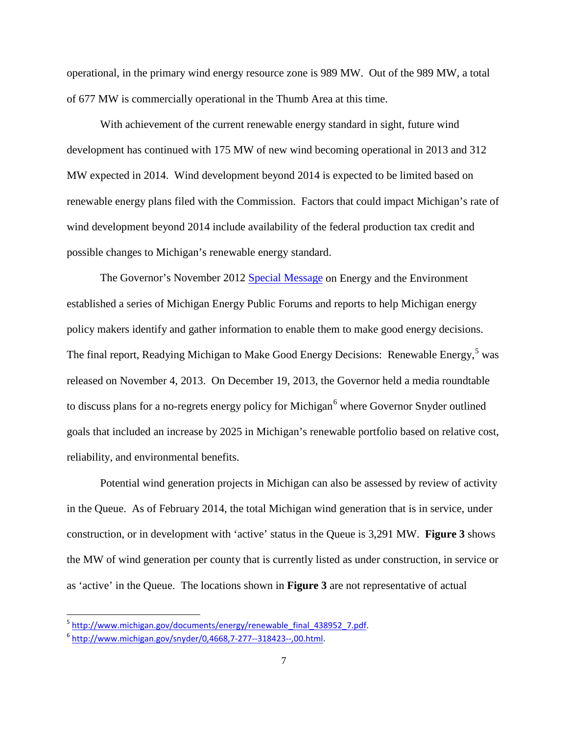operational, in the primary wind energy resource zone is 989 MW. Out of the 989 MW, a total of 677 MW is commercially operational in the Thumb Area at this time.

With achievement of the current renewable energy standard in sight, future wind development has continued with 175 MW of new wind becoming operational in 2013 and 312 MW expected in 2014. Wind development beyond 2014 is expected to be limited based on renewable energy plans filed with the Commission. Factors that could impact Michigan's rate of wind development beyond 2014 include availability of the federal production tax credit and possible changes to Michigan's renewable energy standard.

The Governor's November 2012 [Special Message](http://w3.michigan.gov/documents/snyder/EE_Message_FINAL_pdf_404563_7.pdf) on Energy and the Environment established a series of Michigan Energy Public Forums and reports to help Michigan energy policy makers identify and gather information to enable them to make good energy decisions. The final report, Readying Michigan to Make Good Energy Decisions: Renewable Energy,<sup>[5](#page-6-0)</sup> was released on November 4, 2013. On December 19, 2013, the Governor held a media roundtable to discuss plans for a no-regrets energy policy for Michigan<sup>[6](#page-6-1)</sup> where Governor Snyder outlined goals that included an increase by 2025 in Michigan's renewable portfolio based on relative cost, reliability, and environmental benefits.

Potential wind generation projects in Michigan can also be assessed by review of activity in the Queue. As of February 2014, the total Michigan wind generation that is in service, under construction, or in development with 'active' status in the Queue is 3,291 MW. **Figure 3** shows the MW of wind generation per county that is currently listed as under construction, in service or as 'active' in the Queue. The locations shown in **Figure 3** are not representative of actual

<span id="page-6-0"></span><sup>&</sup>lt;sup>5</sup> http://www.michigan.gov/documents/energy/renewable\_final\_438952\_7.pdf.<br><sup>6</sup> http://www.michigan.gov/snyder/0,4668,7-277--318423--,00.html.

<span id="page-6-1"></span>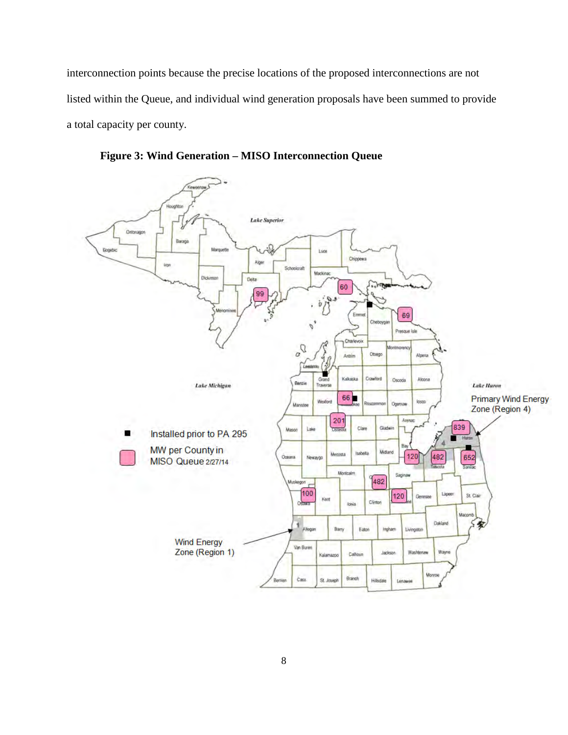interconnection points because the precise locations of the proposed interconnections are not listed within the Queue, and individual wind generation proposals have been summed to provide a total capacity per county.



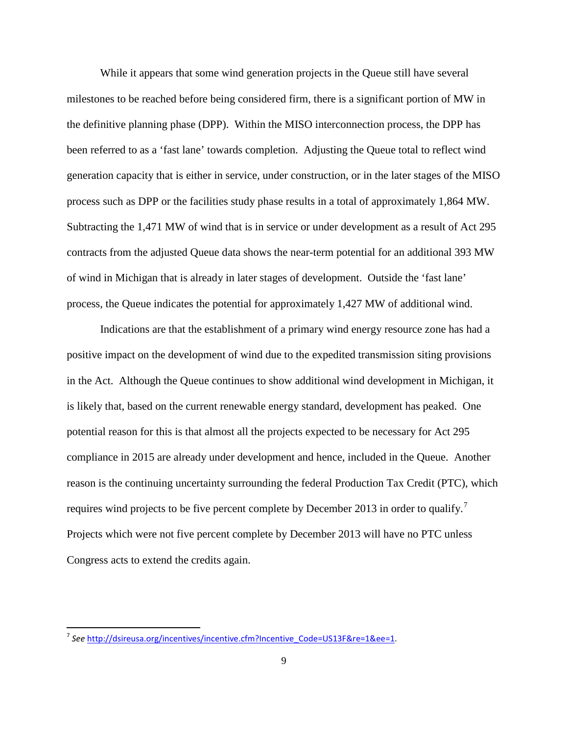While it appears that some wind generation projects in the Queue still have several milestones to be reached before being considered firm, there is a significant portion of MW in the definitive planning phase (DPP). Within the MISO interconnection process, the DPP has been referred to as a 'fast lane' towards completion. Adjusting the Queue total to reflect wind generation capacity that is either in service, under construction, or in the later stages of the MISO process such as DPP or the facilities study phase results in a total of approximately 1,864 MW. Subtracting the 1,471 MW of wind that is in service or under development as a result of Act 295 contracts from the adjusted Queue data shows the near-term potential for an additional 393 MW of wind in Michigan that is already in later stages of development. Outside the 'fast lane' process, the Queue indicates the potential for approximately 1,427 MW of additional wind.

Indications are that the establishment of a primary wind energy resource zone has had a positive impact on the development of wind due to the expedited transmission siting provisions in the Act. Although the Queue continues to show additional wind development in Michigan, it is likely that, based on the current renewable energy standard, development has peaked. One potential reason for this is that almost all the projects expected to be necessary for Act 295 compliance in 2015 are already under development and hence, included in the Queue. Another reason is the continuing uncertainty surrounding the federal Production Tax Credit (PTC), which requires wind projects to be five percent complete by December 2013 in order to qualify.<sup>[7](#page-8-0)</sup> Projects which were not five percent complete by December 2013 will have no PTC unless Congress acts to extend the credits again.

l

<span id="page-8-0"></span><sup>7</sup> *See* [http://dsireusa.org/incentives/incentive.cfm?Incentive\\_Code=US13F&re=1&ee=1.](http://dsireusa.org/incentives/incentive.cfm?Incentive_Code=US13F&re=1&ee=1)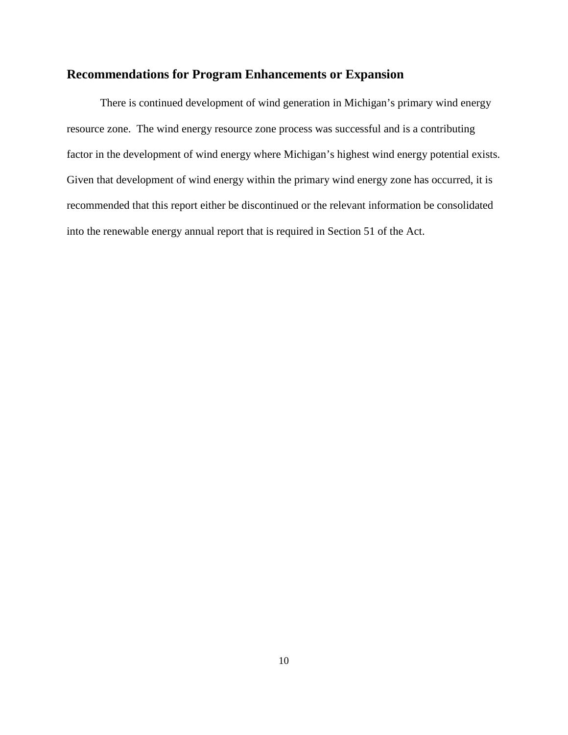# **Recommendations for Program Enhancements or Expansion**

There is continued development of wind generation in Michigan's primary wind energy resource zone. The wind energy resource zone process was successful and is a contributing factor in the development of wind energy where Michigan's highest wind energy potential exists. Given that development of wind energy within the primary wind energy zone has occurred, it is recommended that this report either be discontinued or the relevant information be consolidated into the renewable energy annual report that is required in Section 51 of the Act.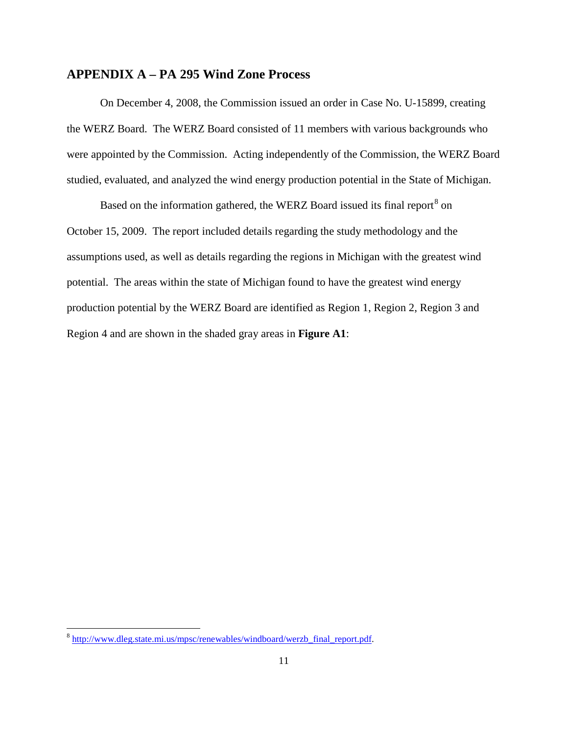# **APPENDIX A – PA 295 Wind Zone Process**

On December 4, 2008, the Commission issued an order in Case No. U-15899, creating the WERZ Board. The WERZ Board consisted of 11 members with various backgrounds who were appointed by the Commission. Acting independently of the Commission, the WERZ Board studied, evaluated, and analyzed the wind energy production potential in the State of Michigan.

Based on the information gathered, the WERZ Board issued its final report<sup>[8](#page-10-0)</sup> on October 15, 2009. The report included details regarding the study methodology and the assumptions used, as well as details regarding the regions in Michigan with the greatest wind potential. The areas within the state of Michigan found to have the greatest wind energy production potential by the WERZ Board are identified as Region 1, Region 2, Region 3 and Region 4 and are shown in the shaded gray areas in **Figure A1**:

<span id="page-10-0"></span><sup>&</sup>lt;sup>8</sup> [http://www.dleg.state.mi.us/mpsc/renewables/windboard/werzb\\_final\\_report.pdf.](http://www.dleg.state.mi.us/mpsc/renewables/windboard/werzb_final_report.pdf)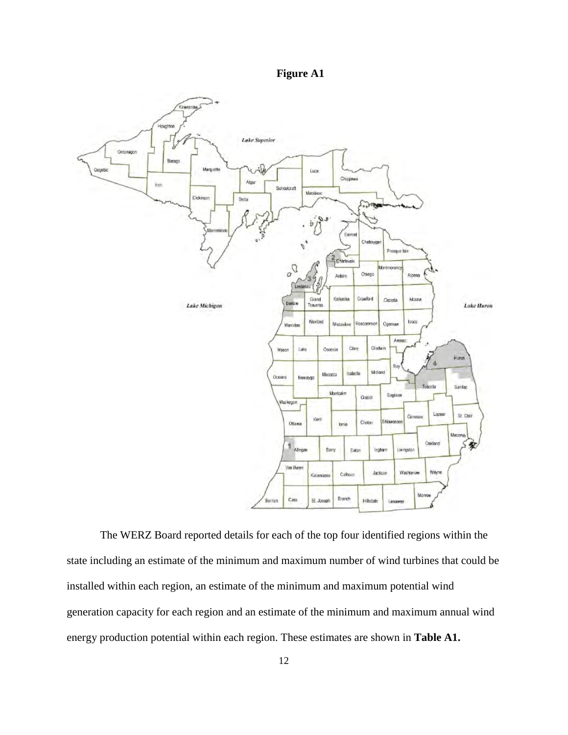



The WERZ Board reported details for each of the top four identified regions within the state including an estimate of the minimum and maximum number of wind turbines that could be installed within each region, an estimate of the minimum and maximum potential wind generation capacity for each region and an estimate of the minimum and maximum annual wind energy production potential within each region. These estimates are shown in **Table A1.**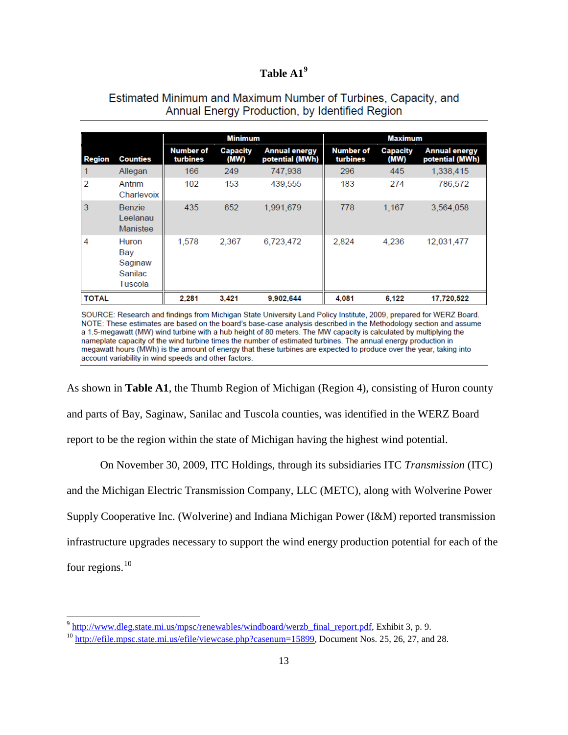## **Table A1[9](#page-12-0)**

## Estimated Minimum and Maximum Number of Turbines, Capacity, and Annual Energy Production, by Identified Region

|                |                                               |                              | <b>Minimum</b>          |                                         |                              | <b>Maximum</b>          |                                         |
|----------------|-----------------------------------------------|------------------------------|-------------------------|-----------------------------------------|------------------------------|-------------------------|-----------------------------------------|
| Region         | <b>Counties</b>                               | <b>Number of</b><br>turbines | <b>Capacity</b><br>(MW) | <b>Annual energy</b><br>potential (MWh) | <b>Number of</b><br>turbines | <b>Capacity</b><br>(MW) | <b>Annual energy</b><br>potential (MWh) |
|                | Allegan                                       | 166                          | 249                     | 747,938                                 | 296                          | 445                     | 1,338,415                               |
| $\overline{2}$ | Antrim<br>Charlevoix                          | 102                          | 153                     | 439,555                                 | 183                          | 274                     | 786,572                                 |
| 3              | <b>Benzie</b><br>Leelanau<br>Manistee         | 435                          | 652                     | 1,991,679                               | 778                          | 1,167                   | 3,564,058                               |
| 4              | Huron<br>Bay<br>Saginaw<br>Sanilac<br>Tuscola | 1,578                        | 2,367                   | 6.723.472                               | 2.824                        | 4.236                   | 12.031.477                              |
| <b>TOTAL</b>   |                                               | 2.281                        | 3.421                   | 9.902.644                               | 4.081                        | 6.122                   | 17.720.522                              |

SOURCE: Research and findings from Michigan State University Land Policy Institute, 2009, prepared for WERZ Board. NOTE: These estimates are based on the board's base-case analysis described in the Methodology section and assume a 1.5-megawatt (MW) wind turbine with a hub height of 80 meters. The MW capacity is calculated by multiplying the nameplate capacity of the wind turbine times the number of estimated turbines. The annual energy production in megawatt hours (MWh) is the amount of energy that these turbines are expected to produce over the year, taking into account variability in wind speeds and other factors.

As shown in **Table A1**, the Thumb Region of Michigan (Region 4), consisting of Huron county and parts of Bay, Saginaw, Sanilac and Tuscola counties, was identified in the WERZ Board report to be the region within the state of Michigan having the highest wind potential.

On November 30, 2009, ITC Holdings, through its subsidiaries ITC *Transmission* (ITC) and the Michigan Electric Transmission Company, LLC (METC), along with Wolverine Power Supply Cooperative Inc. (Wolverine) and Indiana Michigan Power (I&M) reported transmission infrastructure upgrades necessary to support the wind energy production potential for each of the four regions. $10$ 

l

<span id="page-12-0"></span><sup>9</sup> [http://www.dleg.state.mi.us/mpsc/renewables/windboard/werzb\\_final\\_report.pdf,](http://www.dleg.state.mi.us/mpsc/renewables/windboard/werzb_final_report.pdf) Exhibit 3, p. 9.

<span id="page-12-1"></span><sup>&</sup>lt;sup>10</sup> [http://efile.mpsc.state.mi.us/efile/viewcase.php?casenum=15899,](http://efile.mpsc.state.mi.us/efile/viewcase.php?casenum=15899) Document Nos. 25, 26, 27, and 28.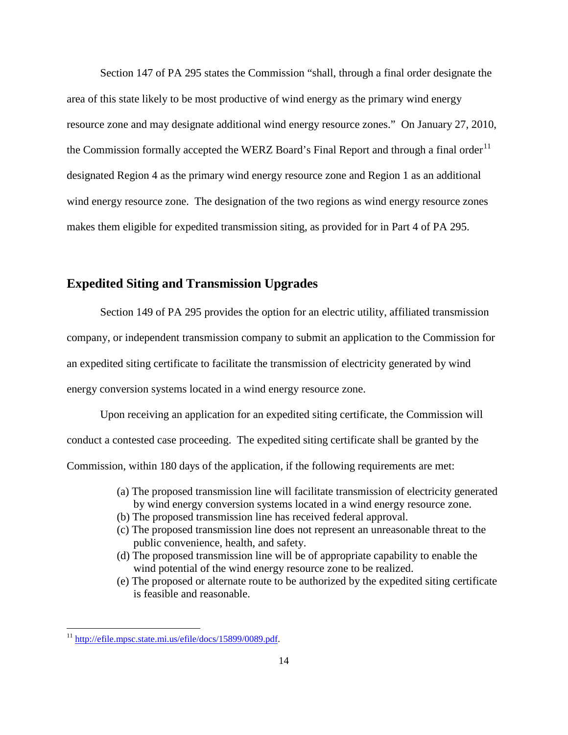Section 147 of PA 295 states the Commission "shall, through a final order designate the area of this state likely to be most productive of wind energy as the primary wind energy resource zone and may designate additional wind energy resource zones." On January 27, 2010, the Commission formally accepted the WERZ Board's Final Report and through a final order<sup>[11](#page-13-0)</sup> designated Region 4 as the primary wind energy resource zone and Region 1 as an additional wind energy resource zone. The designation of the two regions as wind energy resource zones makes them eligible for expedited transmission siting, as provided for in Part 4 of PA 295.

#### **Expedited Siting and Transmission Upgrades**

Section 149 of PA 295 provides the option for an electric utility, affiliated transmission company, or independent transmission company to submit an application to the Commission for an expedited siting certificate to facilitate the transmission of electricity generated by wind energy conversion systems located in a wind energy resource zone.

Upon receiving an application for an expedited siting certificate, the Commission will conduct a contested case proceeding. The expedited siting certificate shall be granted by the Commission, within 180 days of the application, if the following requirements are met:

- (a) The proposed transmission line will facilitate transmission of electricity generated by wind energy conversion systems located in a wind energy resource zone.
- (b) The proposed transmission line has received federal approval.
- (c) The proposed transmission line does not represent an unreasonable threat to the public convenience, health, and safety.
- (d) The proposed transmission line will be of appropriate capability to enable the wind potential of the wind energy resource zone to be realized.
- (e) The proposed or alternate route to be authorized by the expedited siting certificate is feasible and reasonable.

<span id="page-13-0"></span><sup>&</sup>lt;sup>11</sup> [http://efile.mpsc.state.mi.us/efile/docs/15899/0089.pdf.](http://efile.mpsc.state.mi.us/efile/docs/15899/0089.pdf)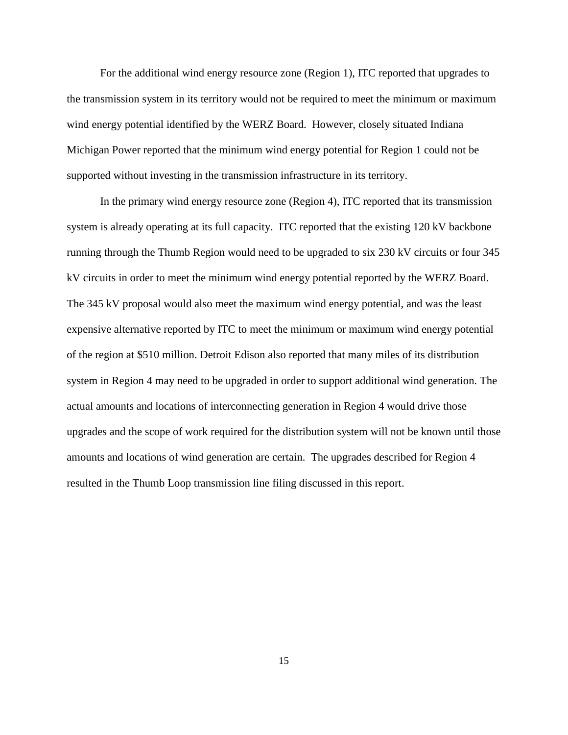For the additional wind energy resource zone (Region 1), ITC reported that upgrades to the transmission system in its territory would not be required to meet the minimum or maximum wind energy potential identified by the WERZ Board. However, closely situated Indiana Michigan Power reported that the minimum wind energy potential for Region 1 could not be supported without investing in the transmission infrastructure in its territory.

In the primary wind energy resource zone (Region 4), ITC reported that its transmission system is already operating at its full capacity. ITC reported that the existing 120 kV backbone running through the Thumb Region would need to be upgraded to six 230 kV circuits or four 345 kV circuits in order to meet the minimum wind energy potential reported by the WERZ Board. The 345 kV proposal would also meet the maximum wind energy potential, and was the least expensive alternative reported by ITC to meet the minimum or maximum wind energy potential of the region at \$510 million. Detroit Edison also reported that many miles of its distribution system in Region 4 may need to be upgraded in order to support additional wind generation. The actual amounts and locations of interconnecting generation in Region 4 would drive those upgrades and the scope of work required for the distribution system will not be known until those amounts and locations of wind generation are certain. The upgrades described for Region 4 resulted in the Thumb Loop transmission line filing discussed in this report.